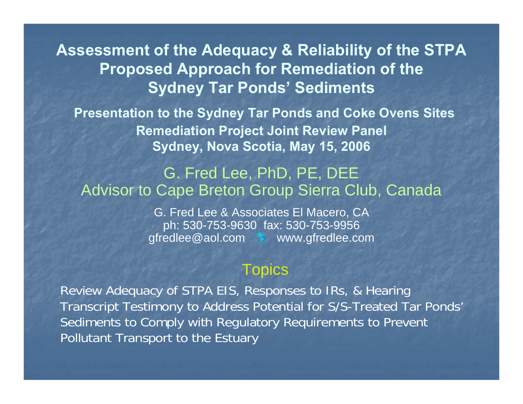**Assessment of the Adequacy & Reliability of the STPA Proposed Approach for Remediation of the Sydney Tar Ponds' Sediments**

**Presentation to the Sydney Tar Ponds and Coke Ovens Sites Remediation Project Joint Review Panel Sydney, Nova Scotia, May 15, 2006**

#### G. Fred Lee, PhD, PE, DEE Advisor to Cape Breton Group Sierra Club, Canada

G. Fred Lee & Associates El Macero, CA ph: 530-753-9630 fax: 530-753-9956 gfredlee@aol.com à www.gfredlee.com

#### **Topics**

Review Adequacy of STPA EIS, Responses to IRs, & Hearing Transcript Testimony to Address Potential for S/S-Treated Tar Ponds' Sediments to Comply with Regulatory Requirements to Prevent Pollutant Transport to the Estuary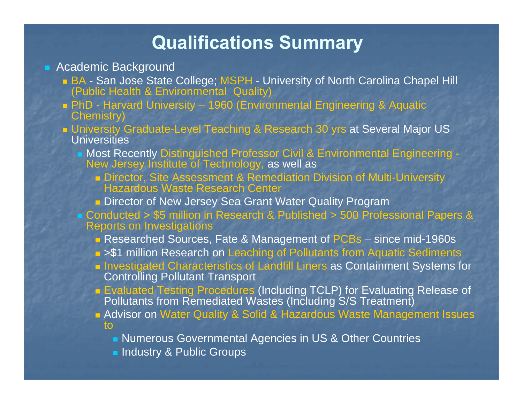### **Qualifications Summary**

#### **Academic Background**

- BA San Jose State College; MSPH University of North Carolina Chapel Hill (Public Health & Environmental Quality)
- PhD Harvard University 1960 (Environmental Engineering & Aquatic Chemistry)
- University Graduate-Level Teaching & Research 30 yrs at Several Major US Universities
	- Most Recently Distinguished Professor Civil & Environmental Engineering New Jersey Institute of Technology, as well as
		- Director, Site Assessment & Remediation Division of Multi-University Hazardous Waste Research Center
		- **n** Director of New Jersey Sea Grant Water Quality Program
	- Conducted > \$5 million in Research & Published > 500 Professional Papers & Reports on Investigations
		- Researched Sources, Fate & Management of PCBs since mid-1960s
		- **>\$1 million Research on Leaching of Pollutants from Aquatic Sediments**
		- **n** Investigated Characteristics of Landfill Liners as Containment Systems for Controlling Pollutant Transport
		- Evaluated Testing Procedures (Including TCLP) for Evaluating Release of Pollutants from Remediated Wastes (Including S/S Treatment)
		- **Advisor on Water Quality & Solid & Hazardous Waste Management Issues** to
			- **Numerous Governmental Agencies in US & Other Countries**
			- **Industry & Public Groups**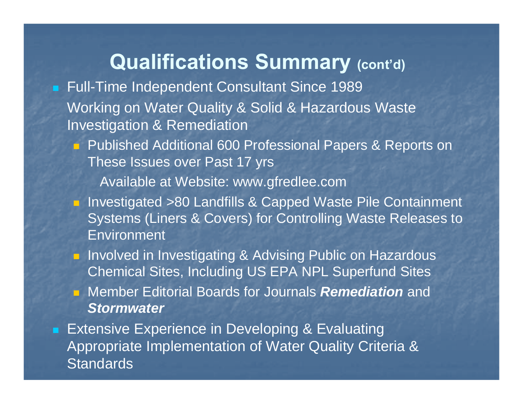# **Qualifications Summary (cont'd)**

- Full-Time Independent Consultant Since 1989 Working on Water Quality & Solid & Hazardous Waste Investigation & Remediation
	- **Published Additional 600 Professional Papers & Reports on** These Issues over Past 17 yrs

Available at Website: www.gfredlee.com

- **Investigated >80 Landfills & Capped Waste Pile Containment** Systems (Liners & Covers) for Controlling Waste Releases to Environment
- **E** Involved in Investigating & Advising Public on Hazardous Chemical Sites, Including US EPA NPL Superfund Sites Member Editorial Boards for Journals *Remediation* and *Stormwater*

■ Extensive Experience in Developing & Evaluating Appropriate Implementation of Water Quality Criteria & **Standards**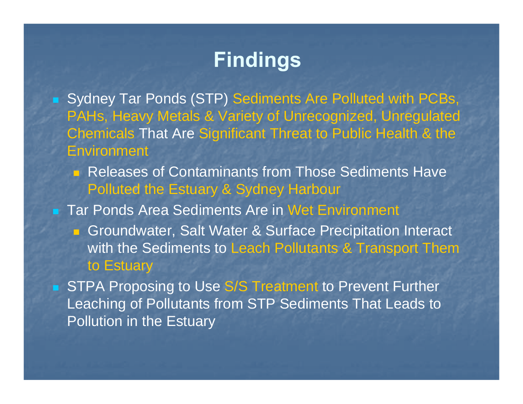# **Findings**

- Sydney Tar Ponds (STP) Sediments Are Polluted with PCBs, PAHs, Heavy Metals & Variety of Unrecognized, Unregulated Chemicals That Are Significant Threat to Public Health & the **Environment** 
	- **Releases of Contaminants from Those Sediments Have** Polluted the Estuary & Sydney Harbour

**Tar Ponds Area Sediments Are in Wet Environment** 

**Groundwater, Salt Water & Surface Precipitation Interact** with the Sediments to Leach Pollutants & Transport Them to Estuary

STPA Proposing to Use S/S Treatment to Prevent Further Leaching of Pollutants from STP Sediments That Leads to Pollution in the Estuary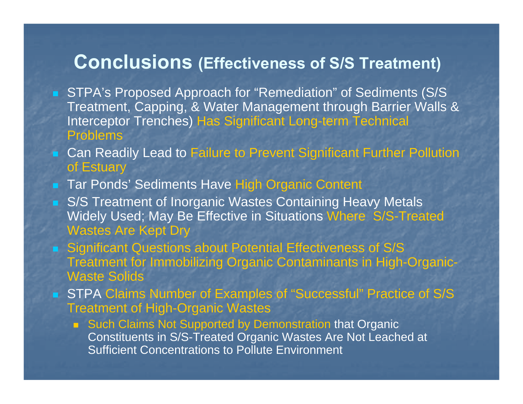### **Conclusions (Effectiveness of S/S Treatment)**

- STPA's Proposed Approach for "Remediation" of Sediments (S/S Treatment, Capping, & Water Management through Barrier Walls & Interceptor Trenches) Has Significant Long-term Technical Problems
- Can Readily Lead to Failure to Prevent Significant Further Pollution of Estuary
- Tar Ponds' Sediments Have High Organic Content
- S/S Treatment of Inorganic Wastes Containing Heavy Metals Widely Used; May Be Effective in Situations Where S/S-Treated Wastes Are Kept Dry
- Significant Questions about Potential Effectiveness of S/S Treatment for Immobilizing Organic Contaminants in High-Organic-Waste Solids
- STPA Claims Number of Examples of "Successful" Practice of S/S Treatment of High-Organic Wastes
	- Such Claims Not Supported by Demonstration that Organic Constituents in S/S-Treated Organic Wastes Are Not Leached at Sufficient Concentrations to Pollute Environment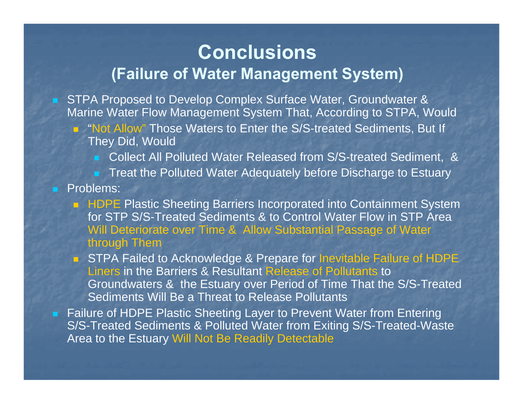### **Conclusions (Failure of Water Management System)**

- STPA Proposed to Develop Complex Surface Water, Groundwater & Marine Water Flow Management System That, According to STPA, Would
	- **Not Allow**" Those Waters to Enter the S/S-treated Sediments, But If They Did, Would
		- Collect All Polluted Water Released from S/S-treated Sediment, &
		- **Treat the Polluted Water Adequately before Discharge to Estuary**
- **Problems:** 
	- HDPE Plastic Sheeting Barriers Incorporated into Containment System for STP S/S-Treated Sediments & to Control Water Flow in STP Area Will Deteriorate over Time & Allow Substantial Passage of Water through Them
	- **STPA Failed to Acknowledge & Prepare for Inevitable Failure of HDPE** Liners in the Barriers & Resultant Release of Pollutants to Groundwaters & the Estuary over Period of Time That the S/S-Treated Sediments Will Be a Threat to Release Pollutants
- Failure of HDPE Plastic Sheeting Layer to Prevent Water from Entering S/S-Treated Sediments & Polluted Water from Exiting S/S-Treated-Waste Area to the Estuary Will Not Be Readily Detectable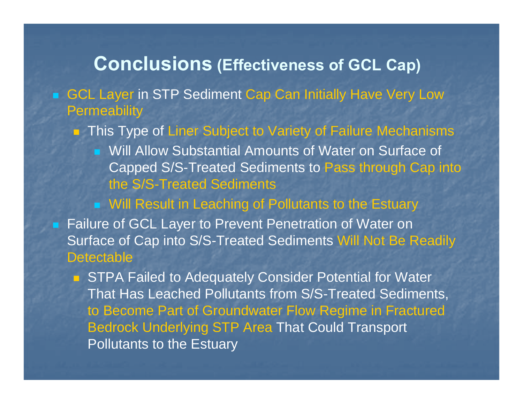### **Conclusions (Effectiveness of GCL Cap)**

■ GCL Layer in STP Sediment Cap Can Initially Have Very Low **Permeability** 

■ This Type of Liner Subject to Variety of Failure Mechanisms

**Null Allow Substantial Amounts of Water on Surface of** Capped S/S-Treated Sediments to Pass through Cap into the S/S-Treated Sediments

■ Will Result in Leaching of Pollutants to the Estuary

**Failure of GCL Layer to Prevent Penetration of Water on** Surface of Cap into S/S-Treated Sediments Will Not Be Readily **Detectable** 

**STPA Failed to Adequately Consider Potential for Water** That Has Leached Pollutants from S/S-Treated Sediments, to Become Part of Groundwater Flow Regime in Fractured Bedrock Underlying STP Area That Could Transport Pollutants to the Estuary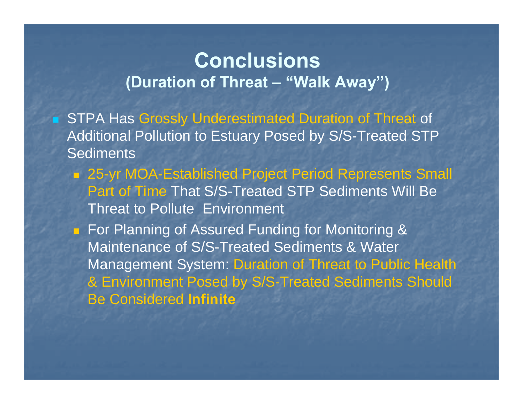# **Conclusions(Duration of Threat – "Walk Away")**

- **STPA Has Grossly Underestimated Duration of Threat of** Additional Pollution to Estuary Posed by S/S-Treated STP **Sediments** 
	- 25-yr MOA-Established Project Period Represents Small Part of Time That S/S-Treated STP Sediments Will Be Threat to Pollute Environment
	- For Planning of Assured Funding for Monitoring & Maintenance of S/S-Treated Sediments & Water Management System: Duration of Threat to Public Health & Environment Posed by S/S-Treated Sediments Should Be Considered **Infinite**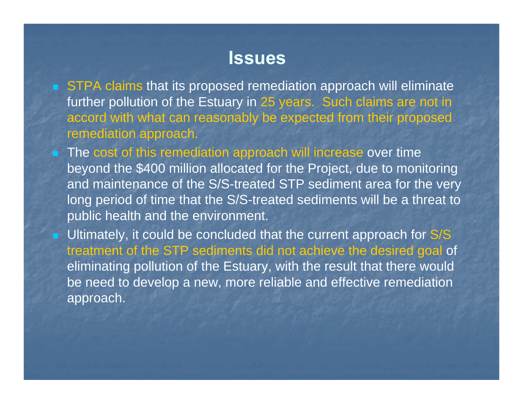### **Issues**

- STPA claims that its proposed remediation approach will eliminate further pollution of the Estuary in 25 years. Such claims are not in accord with what can reasonably be expected from their proposed remediation approach.
- **The cost of this remediation approach will increase over time** beyond the \$400 million allocated for the Project, due to monitoring and maintenance of the S/S-treated STP sediment area for the very long period of time that the S/S-treated sediments will be a threat to public health and the environment.
- **Ultimately, it could be concluded that the current approach for S/S** treatment of the STP sediments did not achieve the desired goal of eliminating pollution of the Estuary, with the result that there would be need to develop a new, more reliable and effective remediation approach.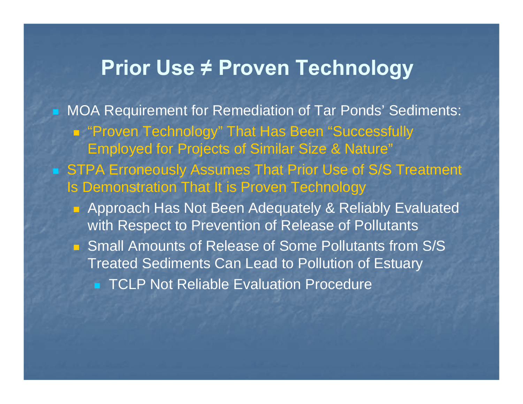# **Prior Use ≠ Proven Technology**

- **MOA Requirement for Remediation of Tar Ponds' Sediments:** ■ "Proven Technology" That Has Been "Successfully Employed for Projects of Similar Size & Nature" ■ STPA Erroneously Assumes That Prior Use of S/S Treatment Is Demonstration That It is Proven Technology
	- Approach Has Not Been Adequately & Reliably Evaluated with Respect to Prevention of Release of Pollutants
	- Small Amounts of Release of Some Pollutants from S/S Treated Sediments Can Lead to Pollution of Estuary
		- **TCLP Not Reliable Evaluation Procedure**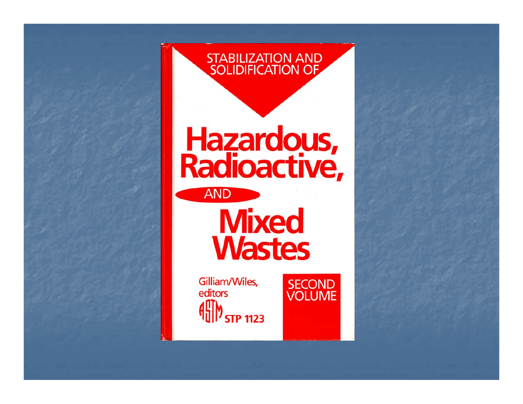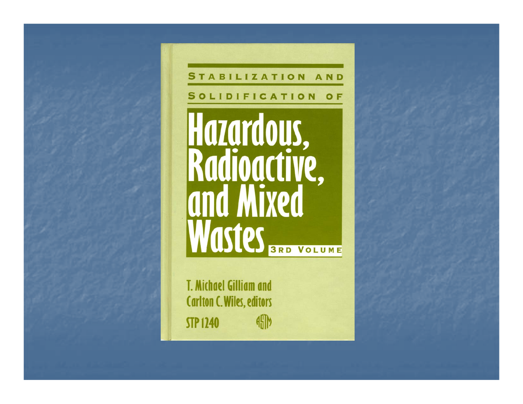

STABILIZATION AND SOLIDIFICATION OF Hazardous,<br>Radioactive,<br>and Mixed Wastes BRD VOLUME

**T. Michael Gilliam and Carlton C. Wiles, editors** 珊 **STP 1240**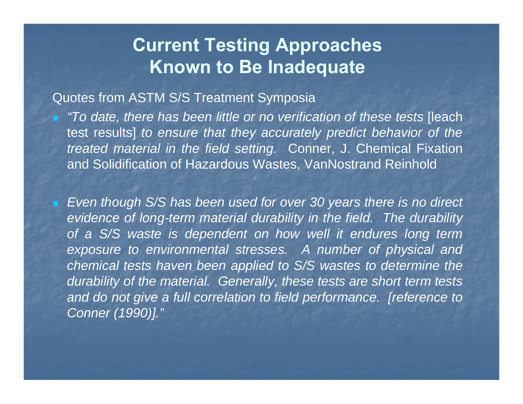## **Current Testing Approaches Known to Be Inadequate**

#### Quotes from ASTM S/S Treatment Symposia

 *"To date, there has been little or no verification of these tests* [leach test results] *to ensure that they accurately predict behavior of the treated material in the field setting.* Conner, J. Chemical Fixation and Solidification of Hazardous Wastes, VanNostrand Reinhold

 *Even though S/S has been used for over 30 years there is no direct evidence of long-term material durability in the field. The durability of a S/S waste is dependent on how well it endures long term exposure to environmental stresses. A number of physical and chemical tests haven been applied to S/S wastes to determine the durability of the material. Generally, these tests are short term tests and do not give a full correlation to field performance. [reference to Conner (1990)]."*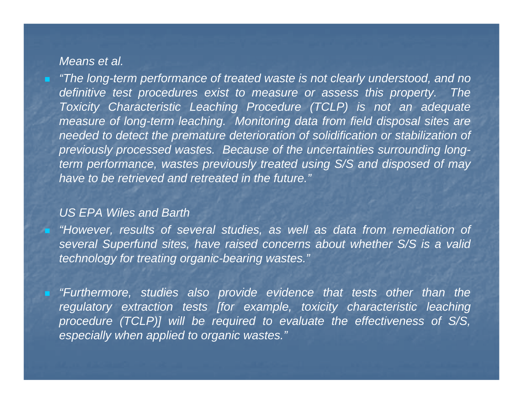#### *Means et al.*

æ.

 *"The long-term performance of treated waste is not clearly understood, and no definitive test procedures exist to measure or assess this property. The Toxicity Characteristic Leaching Procedure (TCLP) is not an adequate measure of long-term leaching. Monitoring data from field disposal sites are needed to detect the premature deterioration of solidification or stabilization of previously processed wastes. Because of the uncertainties surrounding longterm performance, wastes previously treated using S/S and disposed of may have to be retrieved and retreated in the future."*

#### *US EPA Wiles and Barth*

 *"However, results of several studies, as well as data from remediation of several Superfund sites, have raised concerns about whether S/S is a valid technology for treating organic-bearing wastes."*

 *"Furthermore, studies also provide evidence that tests other than the regulatory extraction tests [for example, toxicity characteristic leaching procedure (TCLP)] will be required to evaluate the effectiveness of S/S, especially when applied to organic wastes."*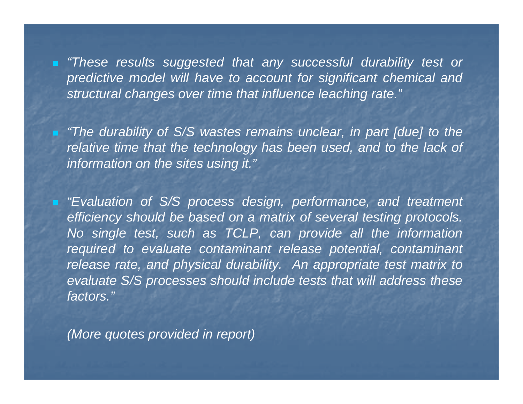*"These results suggested that any successful durability test or predictive model will have to account for significant chemical and structural changes over time that influence leaching rate."*

 *"The durability of S/S wastes remains unclear, in part [due] to the relative time that the technology has been used, and to the lack of information on the sites using it."*

 *"Evaluation of S/S process design, performance, and treatment efficiency should be based on a matrix of several testing protocols. No single test, such as TCLP, can provide all the information required to evaluate contaminant release potential, contaminant release rate, and physical durability. An appropriate test matrix to evaluate S/S processes should include tests that will address these factors."*

*(More quotes provided in report)*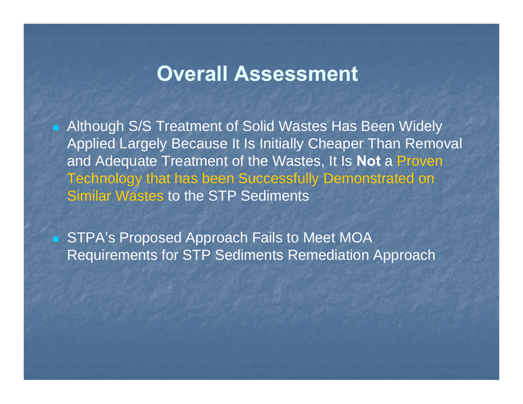# **Overall Assessment**

**Although S/S Treatment of Solid Wastes Has Been Widely** Applied Largely Because It Is Initially Cheaper Than Removal and Adequate Treatment of the Wastes, It Is **Not** a Proven Technology that has been Successfully Demonstrated on Similar Wastes to the STP Sediments

■ STPA's Proposed Approach Fails to Meet MOA Requirements for STP Sediments Remediation Approach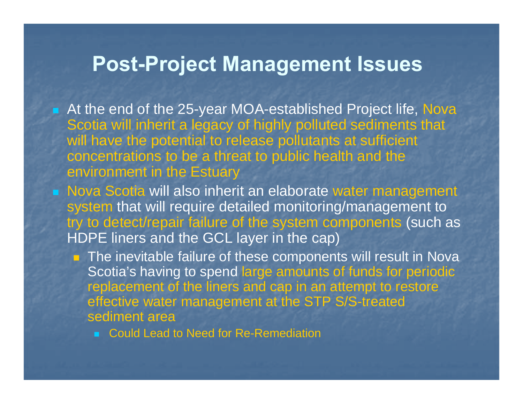# **Post-Project Management Issues**

- At the end of the 25-year MOA-established Project life, Nova Scotia will inherit a legacy of highly polluted sediments that will have the potential to release pollutants at sufficient concentrations to be a threat to public health and the environment in the Estuary
- **Nova Scotia will also inherit an elaborate water management** system that will require detailed monitoring/management to try to detect/repair failure of the system components (such as HDPE liners and the GCL layer in the cap)
	- The inevitable failure of these components will result in Nova Scotia's having to spend large amounts of funds for periodic replacement of the liners and cap in an attempt to restore effective water management at the STP S/S-treated sediment area
		- Could Lead to Need for Re-Remediation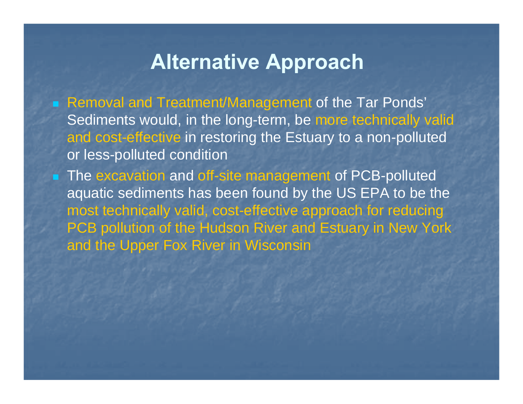# **Alternative Approach**

■ Removal and Treatment/Management of the Tar Ponds' Sediments would, in the long-term, be more technically valid and cost-effective in restoring the Estuary to a non-polluted or less-polluted condition

■ The excavation and off-site management of PCB-polluted aquatic sediments has been found by the US EPA to be the most technically valid, cost-effective approach for reducing PCB pollution of the Hudson River and Estuary in New York and the Upper Fox River in Wisconsin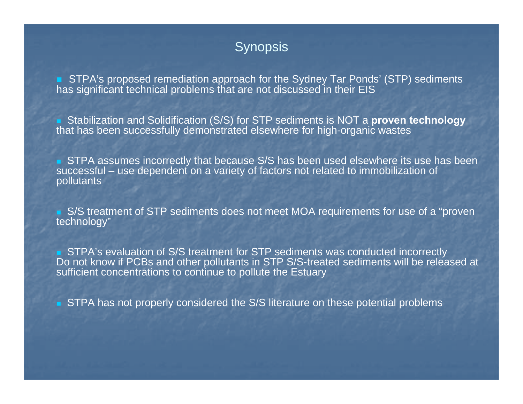#### **Synopsis**

■ STPA's proposed remediation approach for the Sydney Tar Ponds' (STP) sediments has significant technical problems that are not discussed in their EIS

 Stabilization and Solidification (S/S) for STP sediments is NOT a **proven technology** that has been successfully demonstrated elsewhere for high-organic wastes

**STPA assumes incorrectly that because S/S has been used elsewhere its use has been** successful – use dependent on a variety of factors not related to immobilization of pollutants

■ S/S treatment of STP sediments does not meet MOA requirements for use of a "proven technology"

■ STPA's evaluation of S/S treatment for STP sediments was conducted incorrectly Do not know if PCBs and other pollutants in STP S/S-treated sediments will be released at sufficient concentrations to continue to pollute the Estuary

■ STPA has not properly considered the S/S literature on these potential problems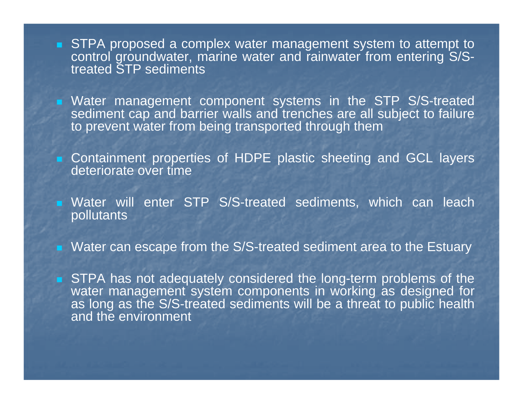- **STPA proposed a complex water management system to attempt to** control groundwater, marine water and rainwater from entering S/Streated STP sediments
- **Nater management component systems in the STP S/S-treated** sediment cap and barrier walls and trenches are all subject to failure to prevent water from being transported through them
- **Containment properties of HDPE plastic sheeting and GCL layers** deteriorate over time
- Water will enter STP S/S-treated sediments, which can leach pollutants
- Water can escape from the S/S-treated sediment area to the Estuary
- **STPA has not adequately considered the long-term problems of the** water management system components in working as designed for as long as the S/S-treated sediments will be a threat to public health and the environment